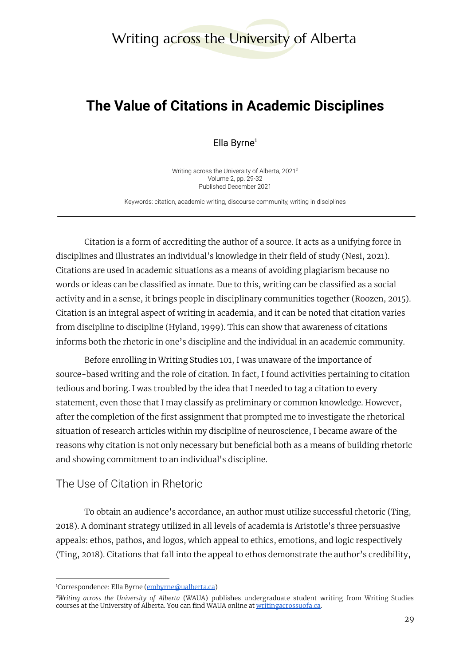# Writing across the University of Alberta

# **The Value of Citations in Academic Disciplines**

Ella Byrne $1$ 

Writing across the University of Alberta, 2021 2 Volume 2, pp. 29-32 Published December 2021

Keywords: citation, academic writing, discourse community, writing in disciplines

Citation is a form of accrediting the author of a source. It acts as a unifying force in disciplines and illustrates an individual's knowledge in their field of study (Nesi, 2021). Citations are used in academic situations as a means of avoiding plagiarism because no words or ideas can be classified as innate. Due to this, writing can be classified as a social activity and in a sense, it brings people in disciplinary communities together (Roozen, 2015). Citation is an integral aspect of writing in academia, and it can be noted that citation varies from discipline to discipline (Hyland, 1999). This can show that awareness of citations informs both the rhetoric in one's discipline and the individual in an academic community.

Before enrolling in Writing Studies 101, I was unaware of the importance of source-based writing and the role of citation. In fact, I found activities pertaining to citation tedious and boring. I was troubled by the idea that I needed to tag a citation to every statement, even those that I may classify as preliminary or common knowledge. However, after the completion of the first assignment that prompted me to investigate the rhetorical situation of research articles within my discipline of neuroscience, I became aware of the reasons why citation is not only necessary but beneficial both as a means of building rhetoric and showing commitment to an individual's discipline.

### The Use of Citation in Rhetoric

To obtain an audience's accordance, an author must utilize successful rhetoric (Ting, 2018). A dominant strategy utilized in all levels of academia is Aristotle's three persuasive appeals: ethos, pathos, and logos, which appeal to ethics, emotions, and logic respectively (Ting, 2018). Citations that fall into the appeal to ethos demonstrate the author's credibility,

<sup>&</sup>lt;sup>1</sup>Correspondence: Ella Byrne ([embyrne@ualberta.ca](mailto:embyrne@ualberta.ca))

*<sup>2</sup>Writing across the University of Alberta* (WAUA) publishes undergraduate student writing from Writing Studies courses at the University of Alberta. You can find WAUA online at [writingacrossuofa.ca.](https://writingacrossuofa.ca/)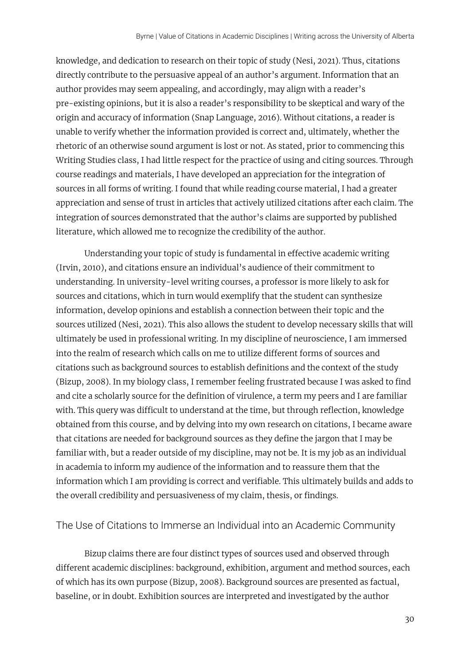knowledge, and dedication to research on their topic of study (Nesi, 2021). Thus, citations directly contribute to the persuasive appeal of an author's argument. Information that an author provides may seem appealing, and accordingly, may align with a reader's pre-existing opinions, but it is also a reader's responsibility to be skeptical and wary of the origin and accuracy of information (Snap Language, 2016). Without citations, a reader is unable to verify whether the information provided is correct and, ultimately, whether the rhetoric of an otherwise sound argument is lost or not. As stated, prior to commencing this Writing Studies class, I had little respect for the practice of using and citing sources. Through course readings and materials, I have developed an appreciation for the integration of sources in all forms of writing. I found that while reading course material, I had a greater appreciation and sense of trust in articles that actively utilized citations after each claim. The integration of sources demonstrated that the author's claims are supported by published literature, which allowed me to recognize the credibility of the author.

Understanding your topic of study is fundamental in effective academic writing (Irvin, 2010), and citations ensure an individual's audience of their commitment to understanding. In university-level writing courses, a professor is more likely to ask for sources and citations, which in turn would exemplify that the student can synthesize information, develop opinions and establish a connection between their topic and the sources utilized (Nesi, 2021). This also allows the student to develop necessary skills that will ultimately be used in professional writing. In my discipline of neuroscience, I am immersed into the realm of research which calls on me to utilize different forms of sources and citations such as background sources to establish definitions and the context of the study (Bizup, 2008). In my biology class, I remember feeling frustrated because I was asked to find and cite a scholarly source for the definition of virulence, a term my peers and I are familiar with. This query was difficult to understand at the time, but through reflection, knowledge obtained from this course, and by delving into my own research on citations, I became aware that citations are needed for background sources as they define the jargon that I may be familiar with, but a reader outside of my discipline, may not be. It is my job as an individual in academia to inform my audience of the information and to reassure them that the information which I am providing is correct and verifiable. This ultimately builds and adds to the overall credibility and persuasiveness of my claim, thesis, or findings.

#### The Use of Citations to Immerse an Individual into an Academic Community

Bizup claims there are four distinct types of sources used and observed through different academic disciplines: background, exhibition, argument and method sources, each of which has its own purpose (Bizup, 2008). Background sources are presented as factual, baseline, or in doubt. Exhibition sources are interpreted and investigated by the author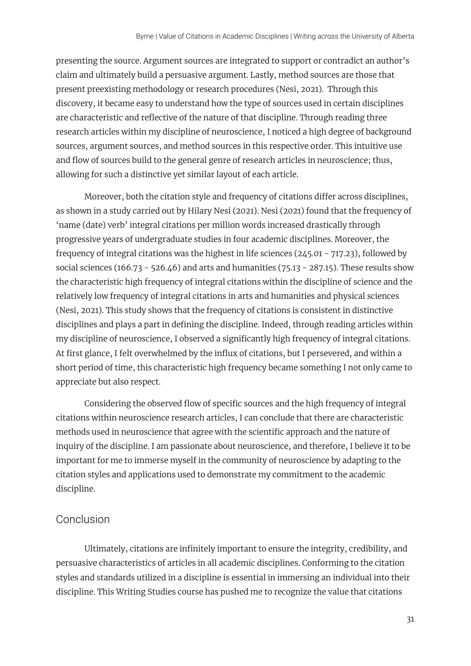presenting the source. Argument sources are integrated to support or contradict an author's claim and ultimately build a persuasive argument. Lastly, method sources are those that present preexisting methodology or research procedures (Nesi, 2021). Through this discovery, it became easy to understand how the type of sources used in certain disciplines are characteristic and reflective of the nature of that discipline. Through reading three research articles within my discipline of neuroscience, I noticed a high degree of background sources, argument sources, and method sources in this respective order. This intuitive use and flow of sources build to the general genre of research articles in neuroscience; thus, allowing for such a distinctive yet similar layout of each article.

Moreover, both the citation style and frequency of citations differ across disciplines, as shown in a study carried out by Hilary Nesi (2021). Nesi (2021) found that the frequency of 'name (date) verb' integral citations per million words increased drastically through progressive years of undergraduate studies in four academic disciplines. Moreover, the frequency of integral citations was the highest in life sciences (245.01 - 717.23), followed by social sciences (166.73 - 526.46) and arts and humanities (75.13 - 287.15). These results show the characteristic high frequency of integral citations within the discipline of science and the relatively low frequency of integral citations in arts and humanities and physical sciences (Nesi, 2021). This study shows that the frequency of citations is consistent in distinctive disciplines and plays a part in defining the discipline. Indeed, through reading articles within my discipline of neuroscience, I observed a significantly high frequency of integral citations. At first glance, I felt overwhelmed by the influx of citations, but I persevered, and within a short period of time, this characteristic high frequency became something I not only came to appreciate but also respect.

Considering the observed flow of specific sources and the high frequency of integral citations within neuroscience research articles, I can conclude that there are characteristic methods used in neuroscience that agree with the scientific approach and the nature of inquiry of the discipline. I am passionate about neuroscience, and therefore, I believe it to be important for me to immerse myself in the community of neuroscience by adapting to the citation styles and applications used to demonstrate my commitment to the academic discipline.

#### Conclusion

Ultimately, citations are infinitely important to ensure the integrity, credibility, and persuasive characteristics of articles in all academic disciplines. Conforming to the citation styles and standards utilized in a discipline is essential in immersing an individual into their discipline. This Writing Studies course has pushed me to recognize the value that citations